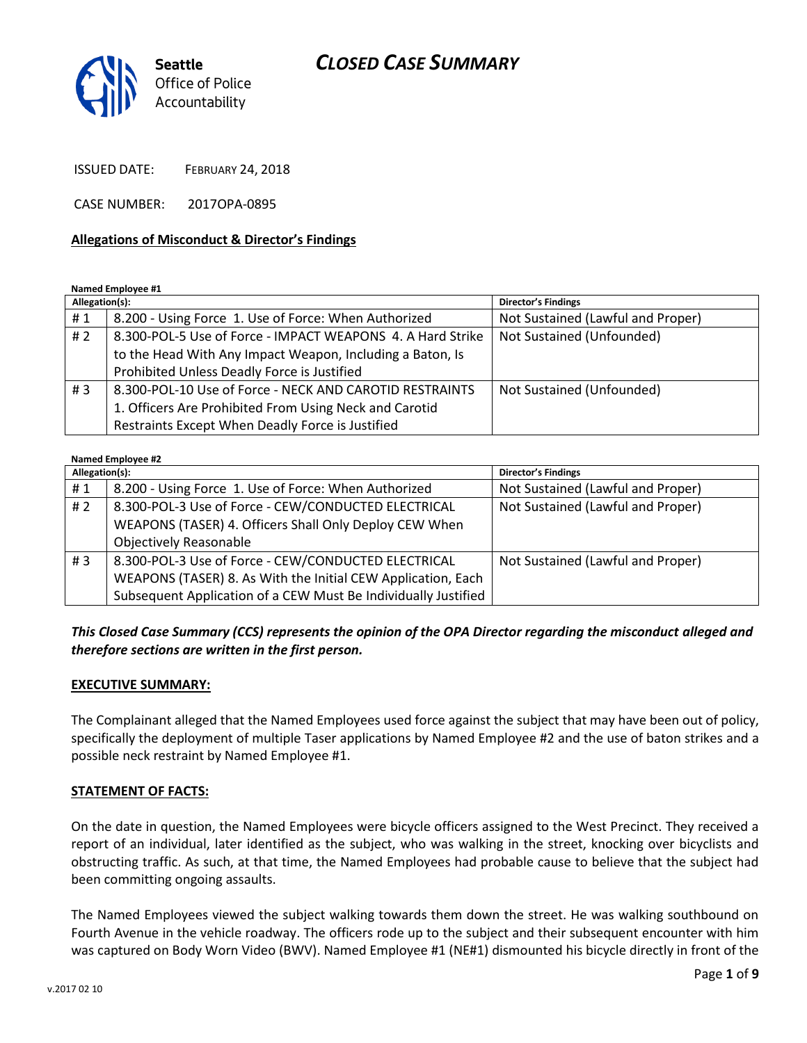

ISSUED DATE: FEBRUARY 24, 2018

CASE NUMBER: 2017OPA-0895

#### **Allegations of Misconduct & Director's Findings**

**Named Employee #1**

| Allegation(s): |                                                            | <b>Director's Findings</b>        |
|----------------|------------------------------------------------------------|-----------------------------------|
| #1             | 8.200 - Using Force 1. Use of Force: When Authorized       | Not Sustained (Lawful and Proper) |
| #2             | 8.300-POL-5 Use of Force - IMPACT WEAPONS 4. A Hard Strike | Not Sustained (Unfounded)         |
|                | to the Head With Any Impact Weapon, Including a Baton, Is  |                                   |
|                | Prohibited Unless Deadly Force is Justified                |                                   |
| #3             | 8.300-POL-10 Use of Force - NECK AND CAROTID RESTRAINTS    | Not Sustained (Unfounded)         |
|                | 1. Officers Are Prohibited From Using Neck and Carotid     |                                   |
|                | Restraints Except When Deadly Force is Justified           |                                   |

#### **Named Employee #2**

| Allegation(s): |                                                                | <b>Director's Findings</b>        |
|----------------|----------------------------------------------------------------|-----------------------------------|
| #1             | 8.200 - Using Force 1. Use of Force: When Authorized           | Not Sustained (Lawful and Proper) |
| # 2            | 8.300-POL-3 Use of Force - CEW/CONDUCTED ELECTRICAL            | Not Sustained (Lawful and Proper) |
|                | WEAPONS (TASER) 4. Officers Shall Only Deploy CEW When         |                                   |
|                | <b>Objectively Reasonable</b>                                  |                                   |
| # $3$          | 8.300-POL-3 Use of Force - CEW/CONDUCTED ELECTRICAL            | Not Sustained (Lawful and Proper) |
|                | WEAPONS (TASER) 8. As With the Initial CEW Application, Each   |                                   |
|                | Subsequent Application of a CEW Must Be Individually Justified |                                   |

*This Closed Case Summary (CCS) represents the opinion of the OPA Director regarding the misconduct alleged and therefore sections are written in the first person.* 

#### **EXECUTIVE SUMMARY:**

The Complainant alleged that the Named Employees used force against the subject that may have been out of policy, specifically the deployment of multiple Taser applications by Named Employee #2 and the use of baton strikes and a possible neck restraint by Named Employee #1.

#### **STATEMENT OF FACTS:**

On the date in question, the Named Employees were bicycle officers assigned to the West Precinct. They received a report of an individual, later identified as the subject, who was walking in the street, knocking over bicyclists and obstructing traffic. As such, at that time, the Named Employees had probable cause to believe that the subject had been committing ongoing assaults.

The Named Employees viewed the subject walking towards them down the street. He was walking southbound on Fourth Avenue in the vehicle roadway. The officers rode up to the subject and their subsequent encounter with him was captured on Body Worn Video (BWV). Named Employee #1 (NE#1) dismounted his bicycle directly in front of the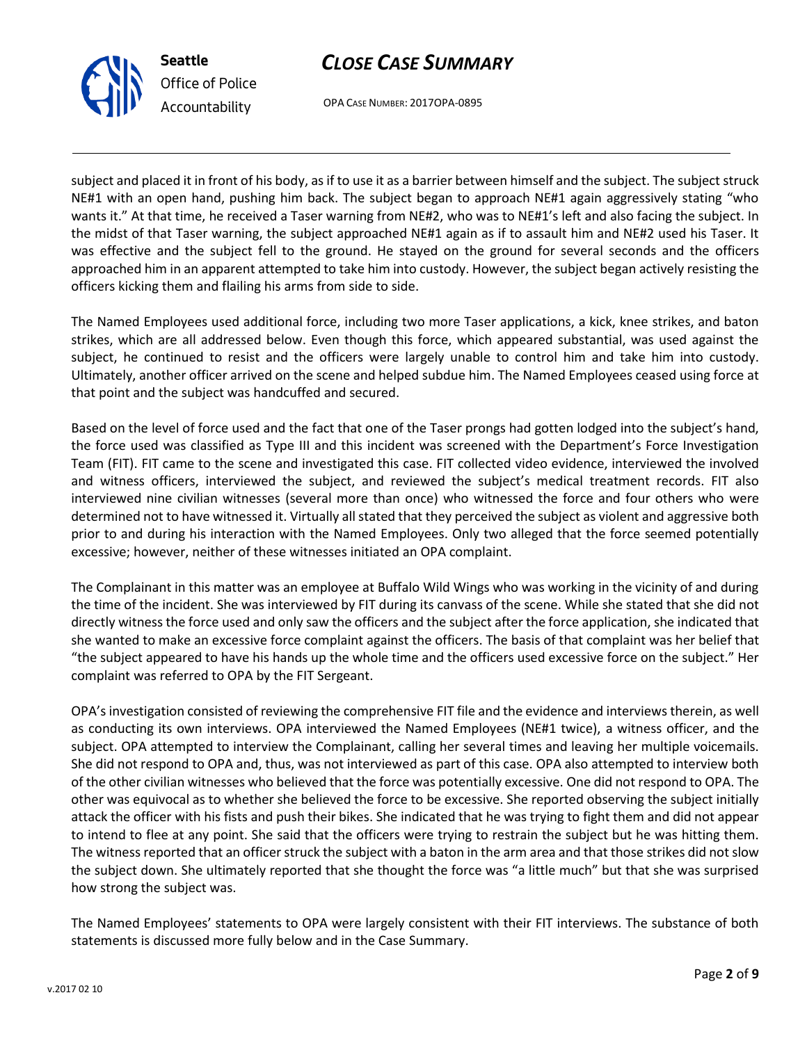

OPA CASE NUMBER: 2017OPA-0895

subject and placed it in front of his body, as if to use it as a barrier between himself and the subject. The subject struck NE#1 with an open hand, pushing him back. The subject began to approach NE#1 again aggressively stating "who wants it." At that time, he received a Taser warning from NE#2, who was to NE#1's left and also facing the subject. In the midst of that Taser warning, the subject approached NE#1 again as if to assault him and NE#2 used his Taser. It was effective and the subject fell to the ground. He stayed on the ground for several seconds and the officers approached him in an apparent attempted to take him into custody. However, the subject began actively resisting the officers kicking them and flailing his arms from side to side.

The Named Employees used additional force, including two more Taser applications, a kick, knee strikes, and baton strikes, which are all addressed below. Even though this force, which appeared substantial, was used against the subject, he continued to resist and the officers were largely unable to control him and take him into custody. Ultimately, another officer arrived on the scene and helped subdue him. The Named Employees ceased using force at that point and the subject was handcuffed and secured.

Based on the level of force used and the fact that one of the Taser prongs had gotten lodged into the subject's hand, the force used was classified as Type III and this incident was screened with the Department's Force Investigation Team (FIT). FIT came to the scene and investigated this case. FIT collected video evidence, interviewed the involved and witness officers, interviewed the subject, and reviewed the subject's medical treatment records. FIT also interviewed nine civilian witnesses (several more than once) who witnessed the force and four others who were determined not to have witnessed it. Virtually all stated that they perceived the subject as violent and aggressive both prior to and during his interaction with the Named Employees. Only two alleged that the force seemed potentially excessive; however, neither of these witnesses initiated an OPA complaint.

The Complainant in this matter was an employee at Buffalo Wild Wings who was working in the vicinity of and during the time of the incident. She was interviewed by FIT during its canvass of the scene. While she stated that she did not directly witness the force used and only saw the officers and the subject after the force application, she indicated that she wanted to make an excessive force complaint against the officers. The basis of that complaint was her belief that "the subject appeared to have his hands up the whole time and the officers used excessive force on the subject." Her complaint was referred to OPA by the FIT Sergeant.

OPA's investigation consisted of reviewing the comprehensive FIT file and the evidence and interviews therein, as well as conducting its own interviews. OPA interviewed the Named Employees (NE#1 twice), a witness officer, and the subject. OPA attempted to interview the Complainant, calling her several times and leaving her multiple voicemails. She did not respond to OPA and, thus, was not interviewed as part of this case. OPA also attempted to interview both of the other civilian witnesses who believed that the force was potentially excessive. One did not respond to OPA. The other was equivocal as to whether she believed the force to be excessive. She reported observing the subject initially attack the officer with his fists and push their bikes. She indicated that he was trying to fight them and did not appear to intend to flee at any point. She said that the officers were trying to restrain the subject but he was hitting them. The witness reported that an officer struck the subject with a baton in the arm area and that those strikes did not slow the subject down. She ultimately reported that she thought the force was "a little much" but that she was surprised how strong the subject was.

The Named Employees' statements to OPA were largely consistent with their FIT interviews. The substance of both statements is discussed more fully below and in the Case Summary.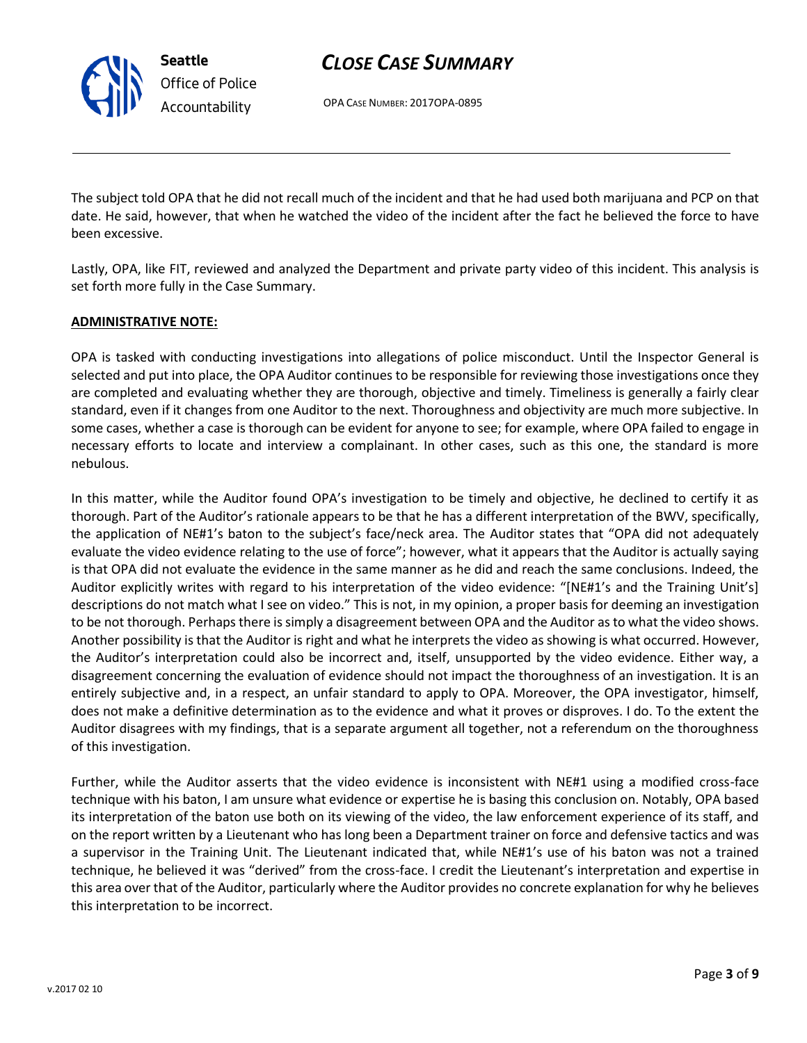OPA CASE NUMBER: 2017OPA-0895

The subject told OPA that he did not recall much of the incident and that he had used both marijuana and PCP on that date. He said, however, that when he watched the video of the incident after the fact he believed the force to have been excessive.

Lastly, OPA, like FIT, reviewed and analyzed the Department and private party video of this incident. This analysis is set forth more fully in the Case Summary.

### **ADMINISTRATIVE NOTE:**

OPA is tasked with conducting investigations into allegations of police misconduct. Until the Inspector General is selected and put into place, the OPA Auditor continues to be responsible for reviewing those investigations once they are completed and evaluating whether they are thorough, objective and timely. Timeliness is generally a fairly clear standard, even if it changes from one Auditor to the next. Thoroughness and objectivity are much more subjective. In some cases, whether a case is thorough can be evident for anyone to see; for example, where OPA failed to engage in necessary efforts to locate and interview a complainant. In other cases, such as this one, the standard is more nebulous.

In this matter, while the Auditor found OPA's investigation to be timely and objective, he declined to certify it as thorough. Part of the Auditor's rationale appears to be that he has a different interpretation of the BWV, specifically, the application of NE#1's baton to the subject's face/neck area. The Auditor states that "OPA did not adequately evaluate the video evidence relating to the use of force"; however, what it appears that the Auditor is actually saying is that OPA did not evaluate the evidence in the same manner as he did and reach the same conclusions. Indeed, the Auditor explicitly writes with regard to his interpretation of the video evidence: "[NE#1's and the Training Unit's] descriptions do not match what I see on video." This is not, in my opinion, a proper basis for deeming an investigation to be not thorough. Perhaps there is simply a disagreement between OPA and the Auditor as to what the video shows. Another possibility is that the Auditor is right and what he interprets the video as showing is what occurred. However, the Auditor's interpretation could also be incorrect and, itself, unsupported by the video evidence. Either way, a disagreement concerning the evaluation of evidence should not impact the thoroughness of an investigation. It is an entirely subjective and, in a respect, an unfair standard to apply to OPA. Moreover, the OPA investigator, himself, does not make a definitive determination as to the evidence and what it proves or disproves. I do. To the extent the Auditor disagrees with my findings, that is a separate argument all together, not a referendum on the thoroughness of this investigation.

Further, while the Auditor asserts that the video evidence is inconsistent with NE#1 using a modified cross-face technique with his baton, I am unsure what evidence or expertise he is basing this conclusion on. Notably, OPA based its interpretation of the baton use both on its viewing of the video, the law enforcement experience of its staff, and on the report written by a Lieutenant who has long been a Department trainer on force and defensive tactics and was a supervisor in the Training Unit. The Lieutenant indicated that, while NE#1's use of his baton was not a trained technique, he believed it was "derived" from the cross-face. I credit the Lieutenant's interpretation and expertise in this area over that of the Auditor, particularly where the Auditor provides no concrete explanation for why he believes this interpretation to be incorrect.



**Seattle**

*Office of Police Accountability*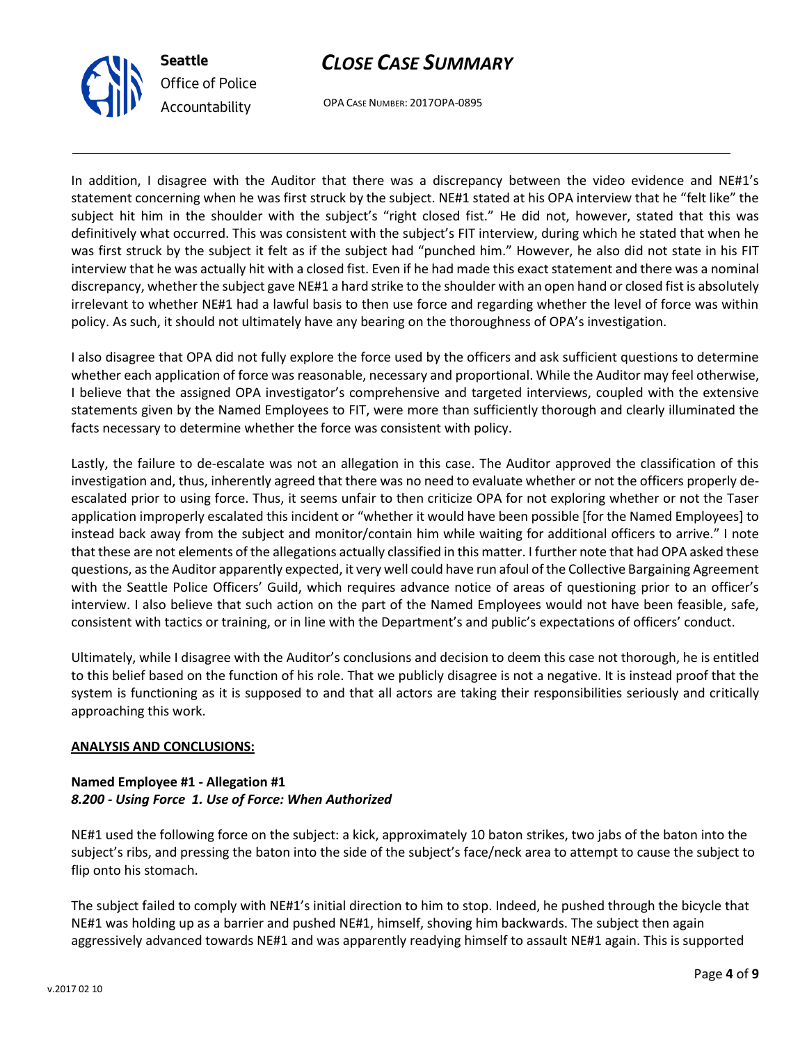

OPA CASE NUMBER: 2017OPA-0895

In addition, I disagree with the Auditor that there was a discrepancy between the video evidence and NE#1's statement concerning when he was first struck by the subject. NE#1 stated at his OPA interview that he "felt like" the subject hit him in the shoulder with the subject's "right closed fist." He did not, however, stated that this was definitively what occurred. This was consistent with the subject's FIT interview, during which he stated that when he was first struck by the subject it felt as if the subject had "punched him." However, he also did not state in his FIT interview that he was actually hit with a closed fist. Even if he had made this exact statement and there was a nominal discrepancy, whether the subject gave NE#1 a hard strike to the shoulder with an open hand or closed fist is absolutely irrelevant to whether NE#1 had a lawful basis to then use force and regarding whether the level of force was within policy. As such, it should not ultimately have any bearing on the thoroughness of OPA's investigation.

I also disagree that OPA did not fully explore the force used by the officers and ask sufficient questions to determine whether each application of force was reasonable, necessary and proportional. While the Auditor may feel otherwise, I believe that the assigned OPA investigator's comprehensive and targeted interviews, coupled with the extensive statements given by the Named Employees to FIT, were more than sufficiently thorough and clearly illuminated the facts necessary to determine whether the force was consistent with policy.

Lastly, the failure to de-escalate was not an allegation in this case. The Auditor approved the classification of this investigation and, thus, inherently agreed that there was no need to evaluate whether or not the officers properly deescalated prior to using force. Thus, it seems unfair to then criticize OPA for not exploring whether or not the Taser application improperly escalated this incident or "whether it would have been possible [for the Named Employees] to instead back away from the subject and monitor/contain him while waiting for additional officers to arrive." I note that these are not elements of the allegations actually classified in this matter. I further note that had OPA asked these questions, as the Auditor apparently expected, it very well could have run afoul of the Collective Bargaining Agreement with the Seattle Police Officers' Guild, which requires advance notice of areas of questioning prior to an officer's interview. I also believe that such action on the part of the Named Employees would not have been feasible, safe, consistent with tactics or training, or in line with the Department's and public's expectations of officers' conduct.

Ultimately, while I disagree with the Auditor's conclusions and decision to deem this case not thorough, he is entitled to this belief based on the function of his role. That we publicly disagree is not a negative. It is instead proof that the system is functioning as it is supposed to and that all actors are taking their responsibilities seriously and critically approaching this work.

## **ANALYSIS AND CONCLUSIONS:**

## **Named Employee #1 - Allegation #1** *8.200 - Using Force 1. Use of Force: When Authorized*

NE#1 used the following force on the subject: a kick, approximately 10 baton strikes, two jabs of the baton into the subject's ribs, and pressing the baton into the side of the subject's face/neck area to attempt to cause the subject to flip onto his stomach.

The subject failed to comply with NE#1's initial direction to him to stop. Indeed, he pushed through the bicycle that NE#1 was holding up as a barrier and pushed NE#1, himself, shoving him backwards. The subject then again aggressively advanced towards NE#1 and was apparently readying himself to assault NE#1 again. This is supported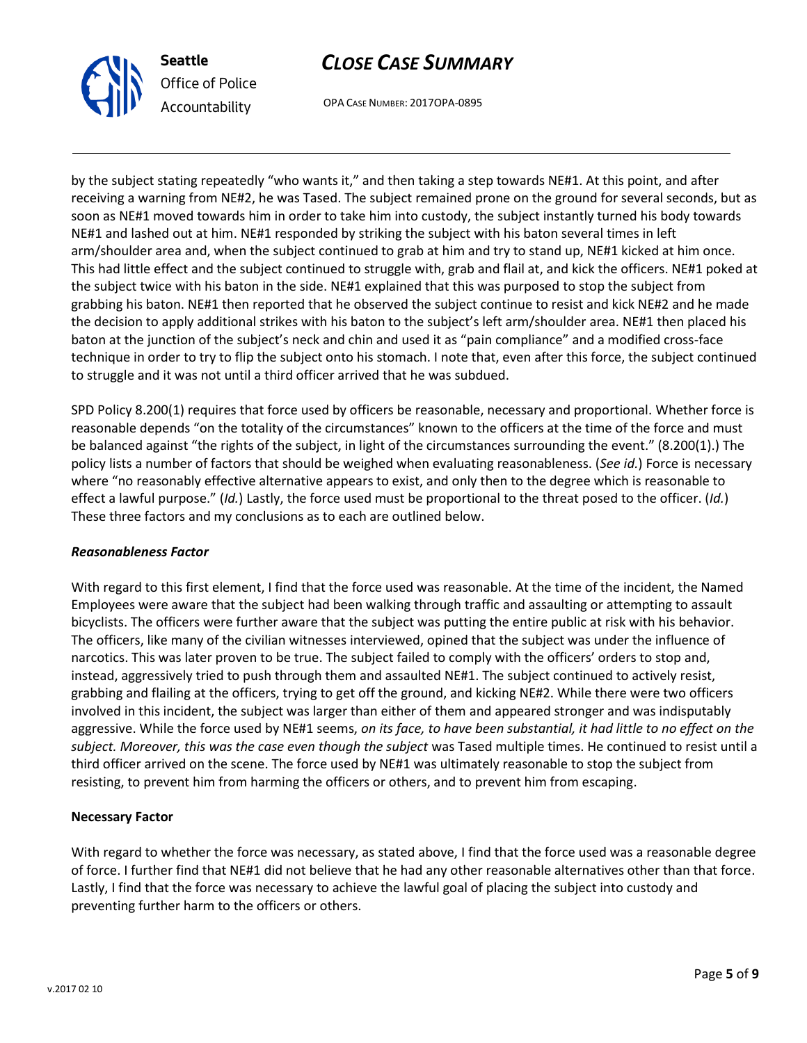



OPA CASE NUMBER: 2017OPA-0895

by the subject stating repeatedly "who wants it," and then taking a step towards NE#1. At this point, and after receiving a warning from NE#2, he was Tased. The subject remained prone on the ground for several seconds, but as soon as NE#1 moved towards him in order to take him into custody, the subject instantly turned his body towards NE#1 and lashed out at him. NE#1 responded by striking the subject with his baton several times in left arm/shoulder area and, when the subject continued to grab at him and try to stand up, NE#1 kicked at him once. This had little effect and the subject continued to struggle with, grab and flail at, and kick the officers. NE#1 poked at the subject twice with his baton in the side. NE#1 explained that this was purposed to stop the subject from grabbing his baton. NE#1 then reported that he observed the subject continue to resist and kick NE#2 and he made the decision to apply additional strikes with his baton to the subject's left arm/shoulder area. NE#1 then placed his baton at the junction of the subject's neck and chin and used it as "pain compliance" and a modified cross-face technique in order to try to flip the subject onto his stomach. I note that, even after this force, the subject continued to struggle and it was not until a third officer arrived that he was subdued.

SPD Policy 8.200(1) requires that force used by officers be reasonable, necessary and proportional. Whether force is reasonable depends "on the totality of the circumstances" known to the officers at the time of the force and must be balanced against "the rights of the subject, in light of the circumstances surrounding the event." (8.200(1).) The policy lists a number of factors that should be weighed when evaluating reasonableness. (*See id.*) Force is necessary where "no reasonably effective alternative appears to exist, and only then to the degree which is reasonable to effect a lawful purpose." (*Id.*) Lastly, the force used must be proportional to the threat posed to the officer. (*Id.*) These three factors and my conclusions as to each are outlined below.

#### *Reasonableness Factor*

With regard to this first element, I find that the force used was reasonable. At the time of the incident, the Named Employees were aware that the subject had been walking through traffic and assaulting or attempting to assault bicyclists. The officers were further aware that the subject was putting the entire public at risk with his behavior. The officers, like many of the civilian witnesses interviewed, opined that the subject was under the influence of narcotics. This was later proven to be true. The subject failed to comply with the officers' orders to stop and, instead, aggressively tried to push through them and assaulted NE#1. The subject continued to actively resist, grabbing and flailing at the officers, trying to get off the ground, and kicking NE#2. While there were two officers involved in this incident, the subject was larger than either of them and appeared stronger and was indisputably aggressive. While the force used by NE#1 seems, *on its face, to have been substantial, it had little to no effect on the subject. Moreover, this was the case even though the subject* was Tased multiple times. He continued to resist until a third officer arrived on the scene. The force used by NE#1 was ultimately reasonable to stop the subject from resisting, to prevent him from harming the officers or others, and to prevent him from escaping.

#### **Necessary Factor**

With regard to whether the force was necessary, as stated above, I find that the force used was a reasonable degree of force. I further find that NE#1 did not believe that he had any other reasonable alternatives other than that force. Lastly, I find that the force was necessary to achieve the lawful goal of placing the subject into custody and preventing further harm to the officers or others.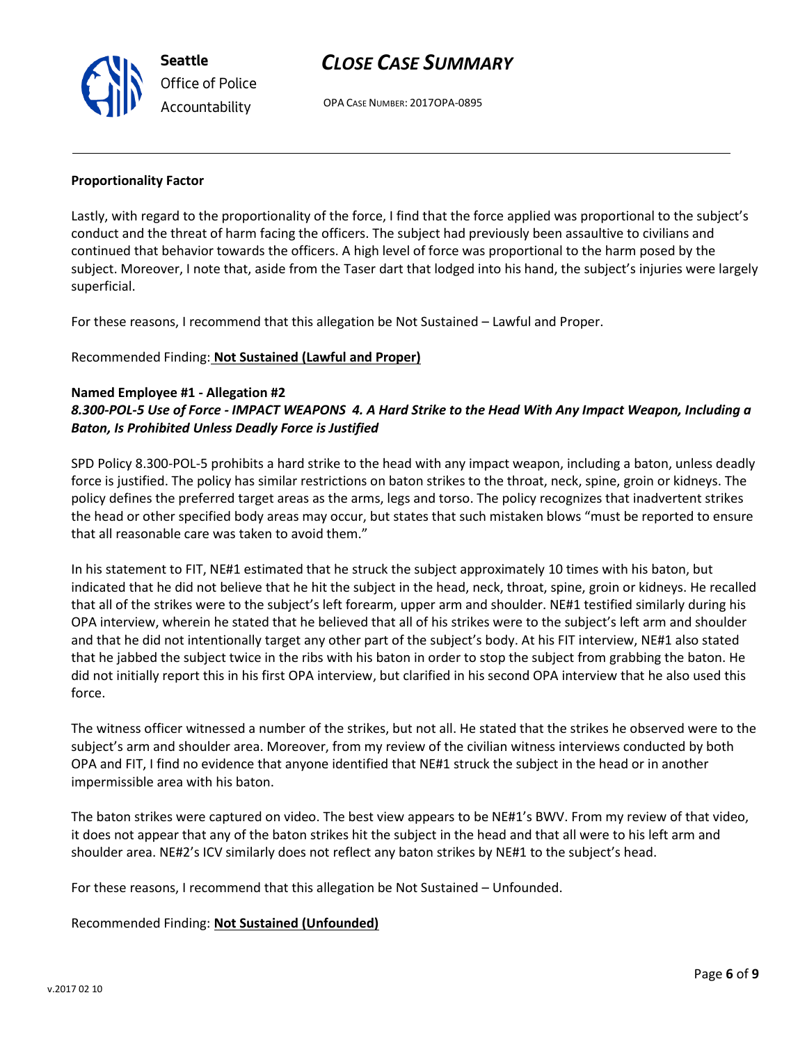OPA CASE NUMBER: 2017OPA-0895

#### **Proportionality Factor**

**Seattle**

*Office of Police Accountability*

Lastly, with regard to the proportionality of the force, I find that the force applied was proportional to the subject's conduct and the threat of harm facing the officers. The subject had previously been assaultive to civilians and continued that behavior towards the officers. A high level of force was proportional to the harm posed by the subject. Moreover, I note that, aside from the Taser dart that lodged into his hand, the subject's injuries were largely superficial.

For these reasons, I recommend that this allegation be Not Sustained – Lawful and Proper.

Recommended Finding: **Not Sustained (Lawful and Proper)**

#### **Named Employee #1 - Allegation #2**

## *8.300-POL-5 Use of Force - IMPACT WEAPONS 4. A Hard Strike to the Head With Any Impact Weapon, Including a Baton, Is Prohibited Unless Deadly Force is Justified*

SPD Policy 8.300-POL-5 prohibits a hard strike to the head with any impact weapon, including a baton, unless deadly force is justified. The policy has similar restrictions on baton strikes to the throat, neck, spine, groin or kidneys. The policy defines the preferred target areas as the arms, legs and torso. The policy recognizes that inadvertent strikes the head or other specified body areas may occur, but states that such mistaken blows "must be reported to ensure that all reasonable care was taken to avoid them."

In his statement to FIT, NE#1 estimated that he struck the subject approximately 10 times with his baton, but indicated that he did not believe that he hit the subject in the head, neck, throat, spine, groin or kidneys. He recalled that all of the strikes were to the subject's left forearm, upper arm and shoulder. NE#1 testified similarly during his OPA interview, wherein he stated that he believed that all of his strikes were to the subject's left arm and shoulder and that he did not intentionally target any other part of the subject's body. At his FIT interview, NE#1 also stated that he jabbed the subject twice in the ribs with his baton in order to stop the subject from grabbing the baton. He did not initially report this in his first OPA interview, but clarified in his second OPA interview that he also used this force.

The witness officer witnessed a number of the strikes, but not all. He stated that the strikes he observed were to the subject's arm and shoulder area. Moreover, from my review of the civilian witness interviews conducted by both OPA and FIT, I find no evidence that anyone identified that NE#1 struck the subject in the head or in another impermissible area with his baton.

The baton strikes were captured on video. The best view appears to be NE#1's BWV. From my review of that video, it does not appear that any of the baton strikes hit the subject in the head and that all were to his left arm and shoulder area. NE#2's ICV similarly does not reflect any baton strikes by NE#1 to the subject's head.

For these reasons, I recommend that this allegation be Not Sustained – Unfounded.

Recommended Finding: **Not Sustained (Unfounded)**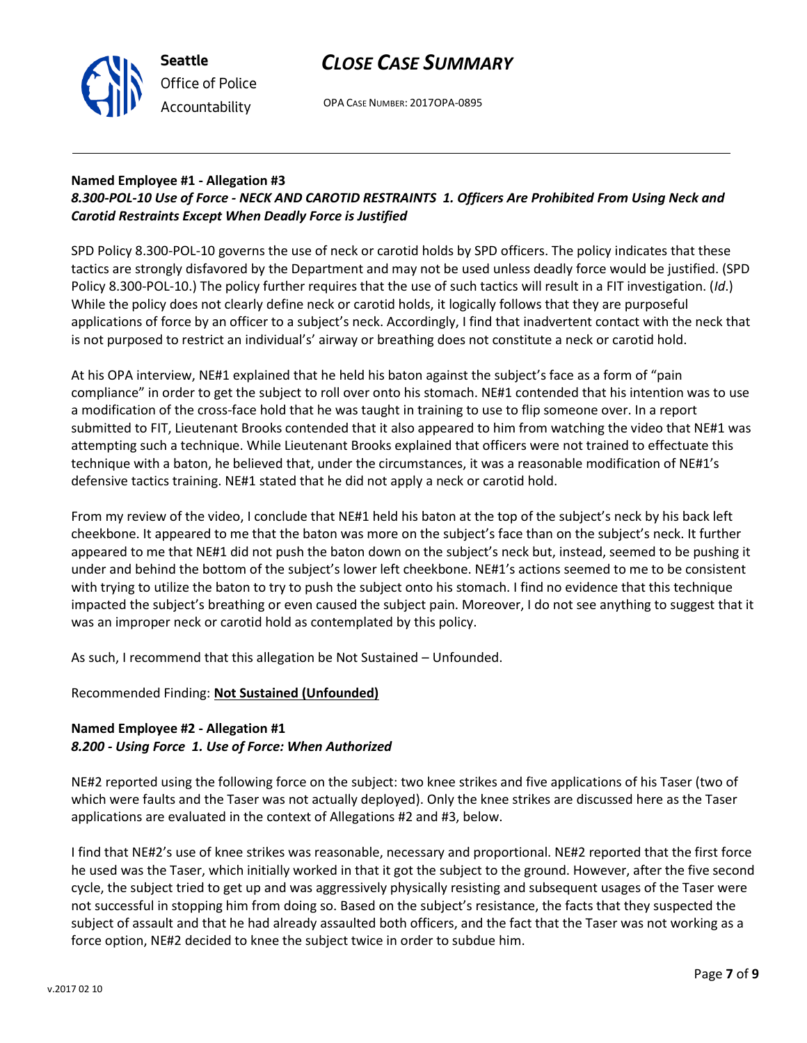

OPA CASE NUMBER: 2017OPA-0895

## **Named Employee #1 - Allegation #3**

## *8.300-POL-10 Use of Force - NECK AND CAROTID RESTRAINTS 1. Officers Are Prohibited From Using Neck and Carotid Restraints Except When Deadly Force is Justified*

SPD Policy 8.300-POL-10 governs the use of neck or carotid holds by SPD officers. The policy indicates that these tactics are strongly disfavored by the Department and may not be used unless deadly force would be justified. (SPD Policy 8.300-POL-10.) The policy further requires that the use of such tactics will result in a FIT investigation. (*Id*.) While the policy does not clearly define neck or carotid holds, it logically follows that they are purposeful applications of force by an officer to a subject's neck. Accordingly, I find that inadvertent contact with the neck that is not purposed to restrict an individual's' airway or breathing does not constitute a neck or carotid hold.

At his OPA interview, NE#1 explained that he held his baton against the subject's face as a form of "pain compliance" in order to get the subject to roll over onto his stomach. NE#1 contended that his intention was to use a modification of the cross-face hold that he was taught in training to use to flip someone over. In a report submitted to FIT, Lieutenant Brooks contended that it also appeared to him from watching the video that NE#1 was attempting such a technique. While Lieutenant Brooks explained that officers were not trained to effectuate this technique with a baton, he believed that, under the circumstances, it was a reasonable modification of NE#1's defensive tactics training. NE#1 stated that he did not apply a neck or carotid hold.

From my review of the video, I conclude that NE#1 held his baton at the top of the subject's neck by his back left cheekbone. It appeared to me that the baton was more on the subject's face than on the subject's neck. It further appeared to me that NE#1 did not push the baton down on the subject's neck but, instead, seemed to be pushing it under and behind the bottom of the subject's lower left cheekbone. NE#1's actions seemed to me to be consistent with trying to utilize the baton to try to push the subject onto his stomach. I find no evidence that this technique impacted the subject's breathing or even caused the subject pain. Moreover, I do not see anything to suggest that it was an improper neck or carotid hold as contemplated by this policy.

As such, I recommend that this allegation be Not Sustained – Unfounded.

## Recommended Finding: **Not Sustained (Unfounded)**

## **Named Employee #2 - Allegation #1** *8.200 - Using Force 1. Use of Force: When Authorized*

NE#2 reported using the following force on the subject: two knee strikes and five applications of his Taser (two of which were faults and the Taser was not actually deployed). Only the knee strikes are discussed here as the Taser applications are evaluated in the context of Allegations #2 and #3, below.

I find that NE#2's use of knee strikes was reasonable, necessary and proportional. NE#2 reported that the first force he used was the Taser, which initially worked in that it got the subject to the ground. However, after the five second cycle, the subject tried to get up and was aggressively physically resisting and subsequent usages of the Taser were not successful in stopping him from doing so. Based on the subject's resistance, the facts that they suspected the subject of assault and that he had already assaulted both officers, and the fact that the Taser was not working as a force option, NE#2 decided to knee the subject twice in order to subdue him.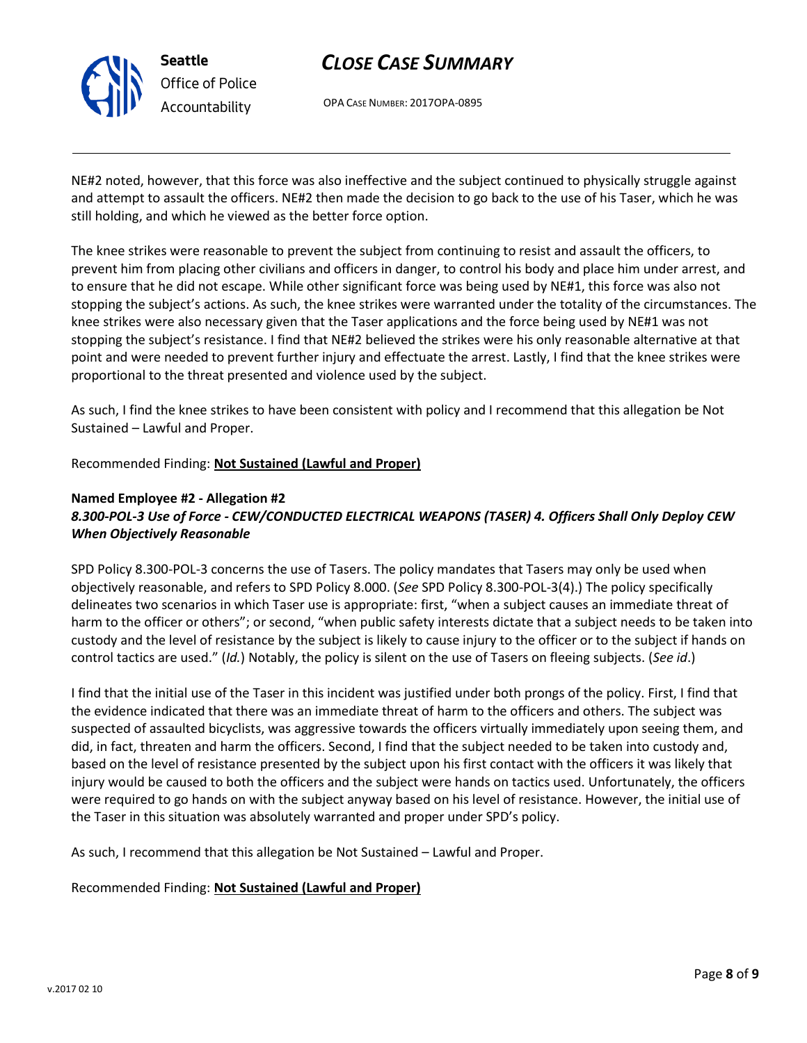

OPA CASE NUMBER: 2017OPA-0895

NE#2 noted, however, that this force was also ineffective and the subject continued to physically struggle against and attempt to assault the officers. NE#2 then made the decision to go back to the use of his Taser, which he was still holding, and which he viewed as the better force option.

The knee strikes were reasonable to prevent the subject from continuing to resist and assault the officers, to prevent him from placing other civilians and officers in danger, to control his body and place him under arrest, and to ensure that he did not escape. While other significant force was being used by NE#1, this force was also not stopping the subject's actions. As such, the knee strikes were warranted under the totality of the circumstances. The knee strikes were also necessary given that the Taser applications and the force being used by NE#1 was not stopping the subject's resistance. I find that NE#2 believed the strikes were his only reasonable alternative at that point and were needed to prevent further injury and effectuate the arrest. Lastly, I find that the knee strikes were proportional to the threat presented and violence used by the subject.

As such, I find the knee strikes to have been consistent with policy and I recommend that this allegation be Not Sustained – Lawful and Proper.

Recommended Finding: **Not Sustained (Lawful and Proper)**

## **Named Employee #2 - Allegation #2** *8.300-POL-3 Use of Force - CEW/CONDUCTED ELECTRICAL WEAPONS (TASER) 4. Officers Shall Only Deploy CEW When Objectively Reasonable*

SPD Policy 8.300-POL-3 concerns the use of Tasers. The policy mandates that Tasers may only be used when objectively reasonable, and refers to SPD Policy 8.000. (*See* SPD Policy 8.300-POL-3(4).) The policy specifically delineates two scenarios in which Taser use is appropriate: first, "when a subject causes an immediate threat of harm to the officer or others"; or second, "when public safety interests dictate that a subject needs to be taken into custody and the level of resistance by the subject is likely to cause injury to the officer or to the subject if hands on control tactics are used." (*Id.*) Notably, the policy is silent on the use of Tasers on fleeing subjects. (*See id*.)

I find that the initial use of the Taser in this incident was justified under both prongs of the policy. First, I find that the evidence indicated that there was an immediate threat of harm to the officers and others. The subject was suspected of assaulted bicyclists, was aggressive towards the officers virtually immediately upon seeing them, and did, in fact, threaten and harm the officers. Second, I find that the subject needed to be taken into custody and, based on the level of resistance presented by the subject upon his first contact with the officers it was likely that injury would be caused to both the officers and the subject were hands on tactics used. Unfortunately, the officers were required to go hands on with the subject anyway based on his level of resistance. However, the initial use of the Taser in this situation was absolutely warranted and proper under SPD's policy.

As such, I recommend that this allegation be Not Sustained – Lawful and Proper.

Recommended Finding: **Not Sustained (Lawful and Proper)**